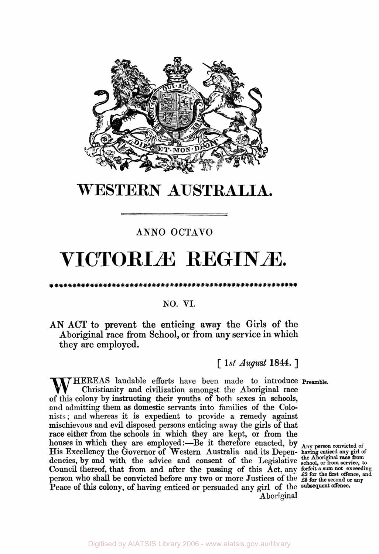

## **WESTERN AUSTRALIA.**

### **ANN0 OCTAVO**

# **VICTORIÆ REGINÆ**

#### **NO. VI.**

**AN ACT to prevent the enticing away the Girls of the Aboriginal race from School, or from** any **service in which they are employed.** 

[ *1st August* **1844.** ]

**THEREAS** laudable efforts have been made to introduce Preamble. Christianity and civilization amongst the Aboriginal race of this colony by instructing their youths of both sexes in schools, and admitting them as domestic servants into families of the Colonists; and whereas it is expedient to provide a remedy against mischievous and evil disposed persons enticing away the girls of that race either from the schools in which they are kept, or **from** the houses in which they are employed:—Be it therefore enacted, by  $_{A_{\text{nv}}}$ Council thereof, that from and after the passing of this Act, any forfeit a sum not exceeding person who shall be convicted before any two or more Justices of the **£ 5 for the second** or **any**  Peace of this colony, of having enticed or persuaded any girl of the subsequent offence. **of** His Excellency the Governor of Western Australia and its Depen- **having the Abo enticed any girl of**  dencies, by and with the advice and consent of the Legislative school, or from service, to Aboriginal

**the Aboriginal race from**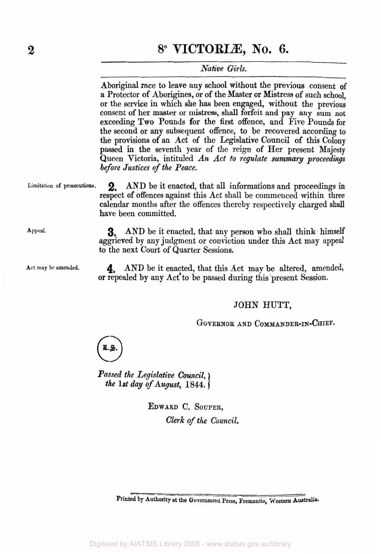#### *Native Girls.*

**Aboriginal** race to leave any school without the previous consent **of**  a Protector of Aborigines, or of the Master or Mistress **of** such school, or the service in which she **has** been engaged, without the previous consent **of** her master or mistress, shall forfeit and pay any sum **not**  exceeding **Two** Pounds for the first offence, and Five Pounds for the second or any subsequent offence, to be recovered according to the provisions **of** an Act **of** the Legislative Council of this Colony passed in the seventh year **of** the reign of Her present Majesty Queen Victoria, intituled *An Act to regulate summary proceedings before Justices of the Peace.* 

AND be it enacted, that all informations and proceedings **in**  respect **of** offences against this Act shall be commenced within three calendar months after the offences thereby respectively charged **shall**  have been committed. Limitation of prosecutions. 2

Appeal. **3.** AND be it enacted, that any person who shall think himself aggrieved by any judgment **or** conviction under this Act may appeal to the next Court **of** Quarter Sessions.

Act may be amended. 4. AND be it enacted, that this Act may be altered, amended, or repealed by any Act to be passed **during** this present Session.

#### **JOHN HUTT,**

GOVERNOR AND COMMANDER-IN-CHIEF.

*the 1st* day *of* August, *1844.* 

**EDWARD** C. **SOUPER,**  *Clerk of the Council.* 

Printed by Authority at the Government Press, Fremantle, Western Australia.

*Passed the Legislative Council,*